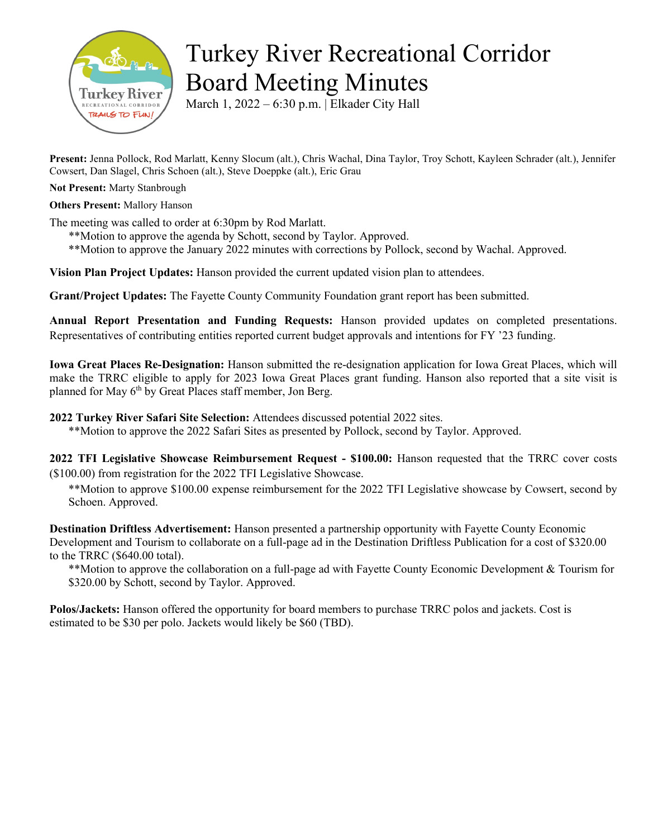

## Turkey River Recreational Corridor Board Meeting Minutes

March 1, 2022 – 6:30 p.m. | Elkader City Hall

**Present:** Jenna Pollock, Rod Marlatt, Kenny Slocum (alt.), Chris Wachal, Dina Taylor, Troy Schott, Kayleen Schrader (alt.), Jennifer Cowsert, Dan Slagel, Chris Schoen (alt.), Steve Doeppke (alt.), Eric Grau

**Not Present:** Marty Stanbrough

## **Others Present:** Mallory Hanson

The meeting was called to order at 6:30pm by Rod Marlatt.

- \*\*Motion to approve the agenda by Schott, second by Taylor. Approved.
- \*\*Motion to approve the January 2022 minutes with corrections by Pollock, second by Wachal. Approved.

**Vision Plan Project Updates:** Hanson provided the current updated vision plan to attendees.

**Grant/Project Updates:** The Fayette County Community Foundation grant report has been submitted.

**Annual Report Presentation and Funding Requests:** Hanson provided updates on completed presentations. Representatives of contributing entities reported current budget approvals and intentions for FY '23 funding.

**Iowa Great Places Re-Designation:** Hanson submitted the re-designation application for Iowa Great Places, which will make the TRRC eligible to apply for 2023 Iowa Great Places grant funding. Hanson also reported that a site visit is planned for May 6<sup>th</sup> by Great Places staff member, Jon Berg.

**2022 Turkey River Safari Site Selection:** Attendees discussed potential 2022 sites.

\*\*Motion to approve the 2022 Safari Sites as presented by Pollock, second by Taylor. Approved.

**2022 TFI Legislative Showcase Reimbursement Request - \$100.00:** Hanson requested that the TRRC cover costs (\$100.00) from registration for the 2022 TFI Legislative Showcase.

\*\*Motion to approve \$100.00 expense reimbursement for the 2022 TFI Legislative showcase by Cowsert, second by Schoen. Approved.

**Destination Driftless Advertisement:** Hanson presented a partnership opportunity with Fayette County Economic Development and Tourism to collaborate on a full-page ad in the Destination Driftless Publication for a cost of \$320.00 to the TRRC (\$640.00 total).

\*\*Motion to approve the collaboration on a full-page ad with Fayette County Economic Development & Tourism for \$320.00 by Schott, second by Taylor. Approved.

**Polos/Jackets:** Hanson offered the opportunity for board members to purchase TRRC polos and jackets. Cost is estimated to be \$30 per polo. Jackets would likely be \$60 (TBD).